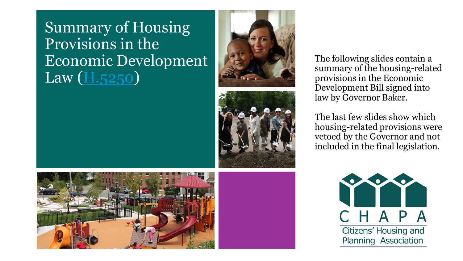#### Summary of Housing Provisions in the Economic Development Law (**H.5250**)





The following slides contain a summary of the housing -related provisions in the Economic Development Bill signed into law by Governor Baker.

The last few slides show which housing -related provisions were vetoed by the Governor and not included in the final legislation.

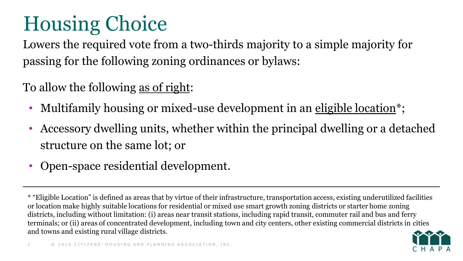Lowers the required vote from a two-thirds majority to a simple majority for passing for the following zoning ordinances or bylaws:

To allow the following as of right:

- Multifamily housing or mixed-use development in an eligible location<sup>\*</sup>;
- Accessory dwelling units, whether within the principal dwelling or a detached structure on the same lot; or
- Open-space residential development.

<sup>\* &</sup>quot;Eligible Location" is defined as areas that by virtue of their infrastructure, transportation access, existing underutilized facilities or location make highly suitable locations for residential or mixed use smart growth zoning districts or starter home zoning districts, including without limitation: (i) areas near transit stations, including rapid transit, commuter rail and bus and ferry terminals; or (ii) areas of concentrated development, including town and city centers, other existing commercial districts in cities and towns and existing rural village districts.

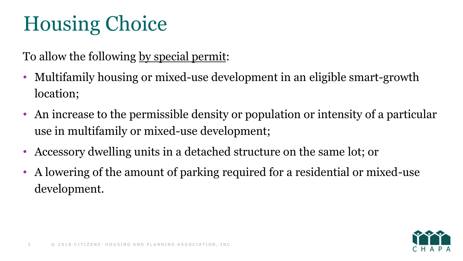To allow the following by special permit:

- Multifamily housing or mixed-use development in an eligible smart-growth location;
- An increase to the permissible density or population or intensity of a particular use in multifamily or mixed-use development;
- Accessory dwelling units in a detached structure on the same lot; or
- A lowering of the amount of parking required for a residential or mixed-use development.

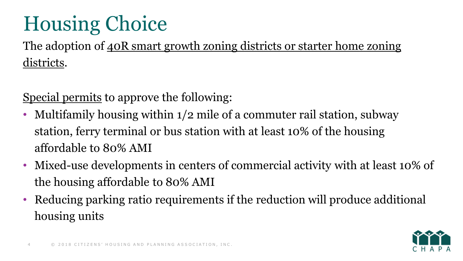The adoption of  $40R$  smart growth zoning districts or starter home zoning districts.

Special permits to approve the following:

- Multifamily housing within 1/2 mile of a commuter rail station, subway station, ferry terminal or bus station with at least 10% of the housing affordable to 80% AMI
- Mixed-use developments in centers of commercial activity with at least 10% of the housing affordable to 80% AMI
- Reducing parking ratio requirements if the reduction will produce additional housing units

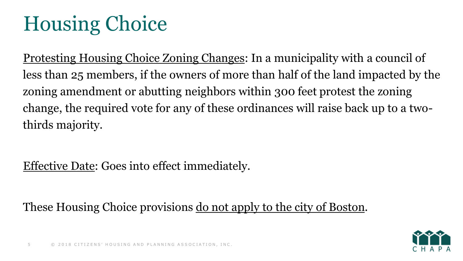Protesting Housing Choice Zoning Changes: In a municipality with a council of less than 25 members, if the owners of more than half of the land impacted by the zoning amendment or abutting neighbors within 300 feet protest the zoning change, the required vote for any of these ordinances will raise back up to a twothirds majority.

#### Effective Date: Goes into effect immediately.

These Housing Choice provisions <u>do not apply to the city of Boston</u>.

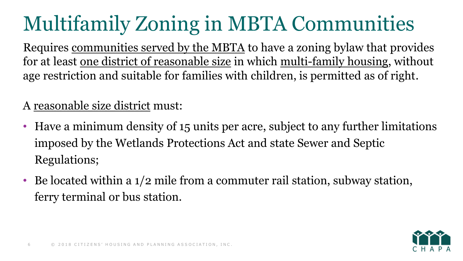# Multifamily Zoning in MBTA Communities

Requires communities served by the MBTA to have a zoning bylaw that provides for at least one district of reasonable size in which multi-family housing, without age restriction and suitable for families with children, is permitted as of right.

A reasonable size district must:

- Have a minimum density of 15 units per acre, subject to any further limitations imposed by the Wetlands Protections Act and state Sewer and Septic Regulations;
- Be located within a 1/2 mile from a commuter rail station, subway station, ferry terminal or bus station.

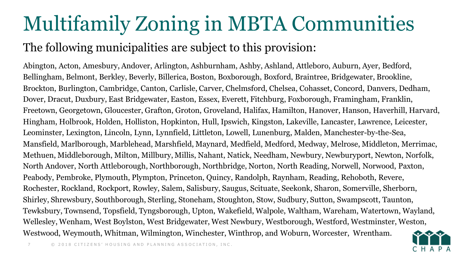## Multifamily Zoning in MBTA Communities

#### The following municipalities are subject to this provision:

Abington, Acton, Amesbury, Andover, Arlington, Ashburnham, Ashby, Ashland, Attleboro, Auburn, Ayer, Bedford, Bellingham, Belmont, Berkley, Beverly, Billerica, Boston, Boxborough, Boxford, Braintree, Bridgewater, Brookline, Brockton, Burlington, Cambridge, Canton, Carlisle, Carver, Chelmsford, Chelsea, Cohasset, Concord, Danvers, Dedham, Dover, Dracut, Duxbury, East Bridgewater, Easton, Essex, Everett, Fitchburg, Foxborough, Framingham, Franklin, Freetown, Georgetown, Gloucester, Grafton, Groton, Groveland, Halifax, Hamilton, Hanover, Hanson, Haverhill, Harvard, Hingham, Holbrook, Holden, Holliston, Hopkinton, Hull, Ipswich, Kingston, Lakeville, Lancaster, Lawrence, Leicester, Leominster, Lexington, Lincoln, Lynn, Lynnfield, Littleton, Lowell, Lunenburg, Malden, Manchester-by-the-Sea, Mansfield, Marlborough, Marblehead, Marshfield, Maynard, Medfield, Medford, Medway, Melrose, Middleton, Merrimac, Methuen, Middleborough, Milton, Millbury, Millis, Nahant, Natick, Needham, Newbury, Newburyport, Newton, Norfolk, North Andover, North Attleborough, Northborough, Northbridge, Norton, North Reading, Norwell, Norwood, Paxton, Peabody, Pembroke, Plymouth, Plympton, Princeton, Quincy, Randolph, Raynham, Reading, Rehoboth, Revere, Rochester, Rockland, Rockport, Rowley, Salem, Salisbury, Saugus, Scituate, Seekonk, Sharon, Somerville, Sherborn, Shirley, Shrewsbury, Southborough, Sterling, Stoneham, Stoughton, Stow, Sudbury, Sutton, Swampscott, Taunton, Tewksbury, Townsend, Topsfield, Tyngsborough, Upton, Wakefield, Walpole, Waltham, Wareham, Watertown, Wayland, Wellesley, Wenham, West Boylston, West Bridgewater, West Newbury, Westborough, Westford, Westminster, Weston, Westwood, Weymouth, Whitman, Wilmington, Winchester, Winthrop, and Woburn, Worcester, Wrentham.

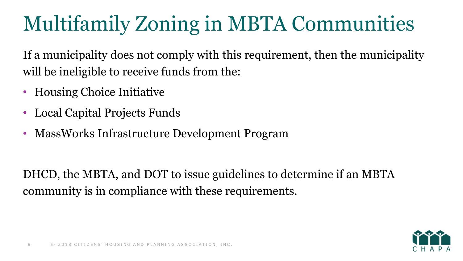# Multifamily Zoning in MBTA Communities

If a municipality does not comply with this requirement, then the municipality will be ineligible to receive funds from the:

- Housing Choice Initiative
- Local Capital Projects Funds
- MassWorks Infrastructure Development Program

DHCD, the MBTA, and DOT to issue guidelines to determine if an MBTA community is in compliance with these requirements.

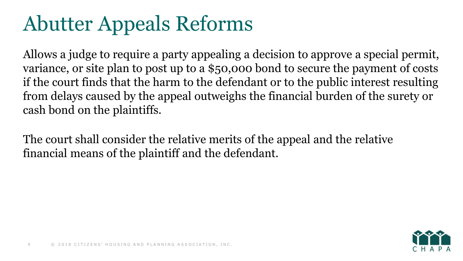#### Abutter Appeals Reforms

Allows a judge to require a party appealing a decision to approve a special permit, variance, or site plan to post up to a \$50,000 bond to secure the payment of costs if the court finds that the harm to the defendant or to the public interest resulting from delays caused by the appeal outweighs the financial burden of the surety or cash bond on the plaintiffs.

The court shall consider the relative merits of the appeal and the relative financial means of the plaintiff and the defendant.

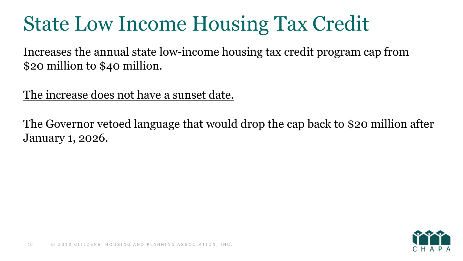#### State Low Income Housing Tax Credit

Increases the annual state low-income housing tax credit program cap from \$20 million to \$40 million.

The increase does not have a sunset date.

The Governor vetoed language that would drop the cap back to \$20 million after January 1, 2026.

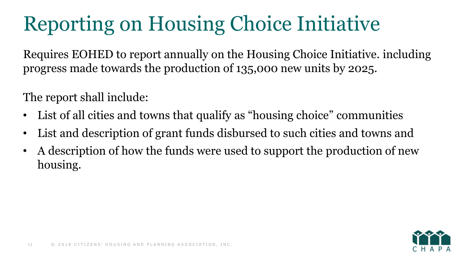# Reporting on Housing Choice Initiative

Requires EOHED to report annually on the Housing Choice Initiative. including progress made towards the production of 135,000 new units by 2025.

The report shall include:

- List of all cities and towns that qualify as "housing choice" communities
- List and description of grant funds disbursed to such cities and towns and
- A description of how the funds were used to support the production of new housing.

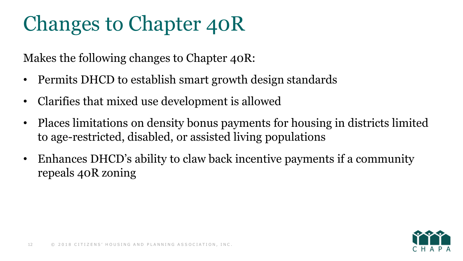#### Changes to Chapter 40R

Makes the following changes to Chapter 40R:

- Permits DHCD to establish smart growth design standards
- Clarifies that mixed use development is allowed
- Places limitations on density bonus payments for housing in districts limited to age-restricted, disabled, or assisted living populations
- Enhances DHCD's ability to claw back incentive payments if a community repeals 40R zoning

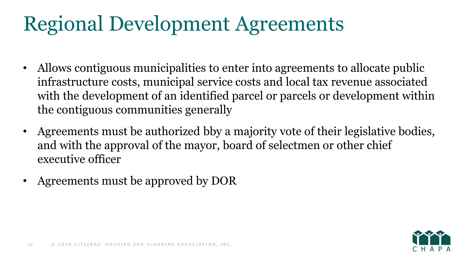#### Regional Development Agreements

- Allows contiguous municipalities to enter into agreements to allocate public infrastructure costs, municipal service costs and local tax revenue associated with the development of an identified parcel or parcels or development within the contiguous communities generally
- Agreements must be authorized bby a majority vote of their legislative bodies, and with the approval of the mayor, board of selectmen or other chief executive officer
- Agreements must be approved by DOR

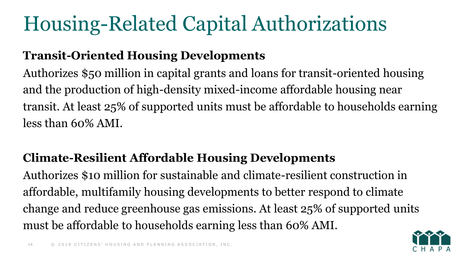# Housing-Related Capital Authorizations

#### **Transit-Oriented Housing Developments**

Authorizes \$50 million in capital grants and loans for transit-oriented housing and the production of high-density mixed-income affordable housing near transit. At least 25% of supported units must be affordable to households earning less than 60% AMI.

#### **Climate-Resilient Affordable Housing Developments**

Authorizes \$10 million for sustainable and climate-resilient construction in affordable, multifamily housing developments to better respond to climate change and reduce greenhouse gas emissions. At least 25% of supported units must be affordable to households earning less than 60% AMI.

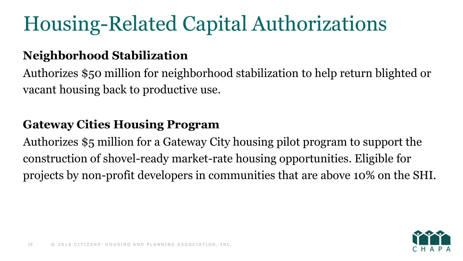# Housing-Related Capital Authorizations

#### **Neighborhood Stabilization**

Authorizes \$50 million for neighborhood stabilization to help return blighted or vacant housing back to productive use.

#### **Gateway Cities Housing Program**

Authorizes \$5 million for a Gateway City housing pilot program to support the construction of shovel-ready market-rate housing opportunities. Eligible for projects by non-profit developers in communities that are above 10% on the SHI.

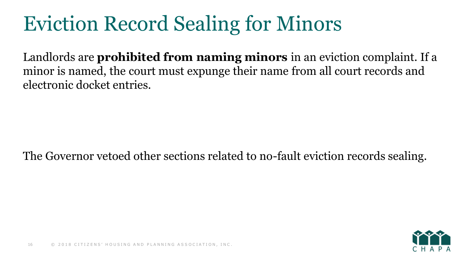# Eviction Record Sealing for Minors

Landlords are **prohibited from naming minors** in an eviction complaint. If a minor is named, the court must expunge their name from all court records and electronic docket entries.

The Governor vetoed other sections related to no-fault eviction records sealing.

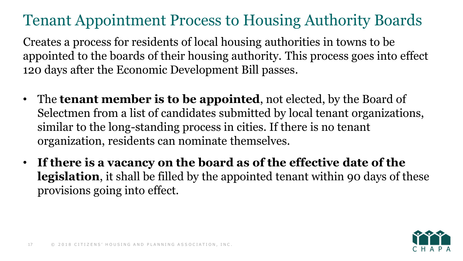#### Tenant Appointment Process to Housing Authority Boards

Creates a process for residents of local housing authorities in towns to be appointed to the boards of their housing authority. This process goes into effect 120 days after the Economic Development Bill passes.

- The **tenant member is to be appointed**, not elected, by the Board of Selectmen from a list of candidates submitted by local tenant organizations, similar to the long-standing process in cities. If there is no tenant organization, residents can nominate themselves.
- **If there is a vacancy on the board as of the effective date of the legislation**, it shall be filled by the appointed tenant within 90 days of these provisions going into effect.

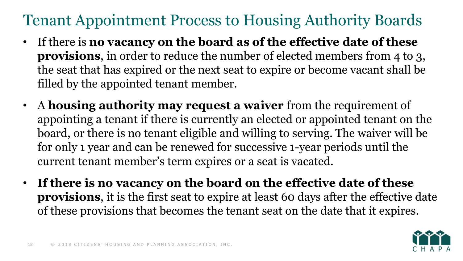#### Tenant Appointment Process to Housing Authority Boards

- If there is **no vacancy on the board as of the effective date of these provisions**, in order to reduce the number of elected members from 4 to 3, the seat that has expired or the next seat to expire or become vacant shall be filled by the appointed tenant member.
- A **housing authority may request a waiver** from the requirement of appointing a tenant if there is currently an elected or appointed tenant on the board, or there is no tenant eligible and willing to serving. The waiver will be for only 1 year and can be renewed for successive 1-year periods until the current tenant member's term expires or a seat is vacated.
- **If there is no vacancy on the board on the effective date of these provisions**, it is the first seat to expire at least 60 days after the effective date of these provisions that becomes the tenant seat on the date that it expires.

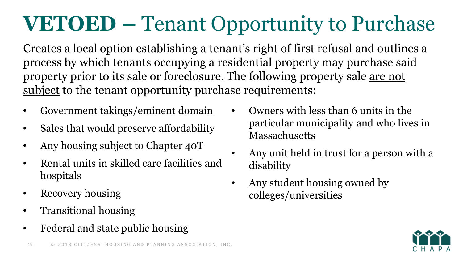# **VETOED –** Tenant Opportunity to Purchase

Creates a local option establishing a tenant's right of first refusal and outlines a process by which tenants occupying a residential property may purchase said property prior to its sale or foreclosure. The following property sale are not subject to the tenant opportunity purchase requirements:

- Government takings/eminent domain
- Sales that would preserve affordability
- Any housing subject to Chapter 40T
- Rental units in skilled care facilities and hospitals
- Recovery housing
- Transitional housing
- Federal and state public housing
- 



- Owners with less than 6 units in the particular municipality and who lives in **Massachusetts**
- Any unit held in trust for a person with a disability
- Any student housing owned by colleges/universities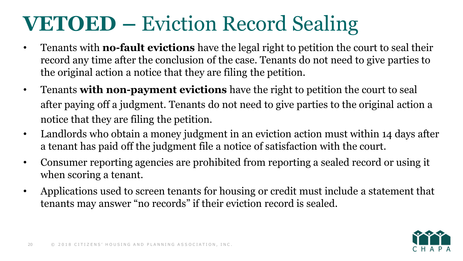#### **VETOED –** Eviction Record Sealing

- Tenants with **no-fault evictions** have the legal right to petition the court to seal their record any time after the conclusion of the case. Tenants do not need to give parties to the original action a notice that they are filing the petition.
- Tenants **with non-payment evictions** have the right to petition the court to seal after paying off a judgment. Tenants do not need to give parties to the original action a notice that they are filing the petition.
- Landlords who obtain a money judgment in an eviction action must within 14 days after a tenant has paid off the judgment file a notice of satisfaction with the court.
- Consumer reporting agencies are prohibited from reporting a sealed record or using it when scoring a tenant.
- Applications used to screen tenants for housing or credit must include a statement that tenants may answer "no records" if their eviction record is sealed.